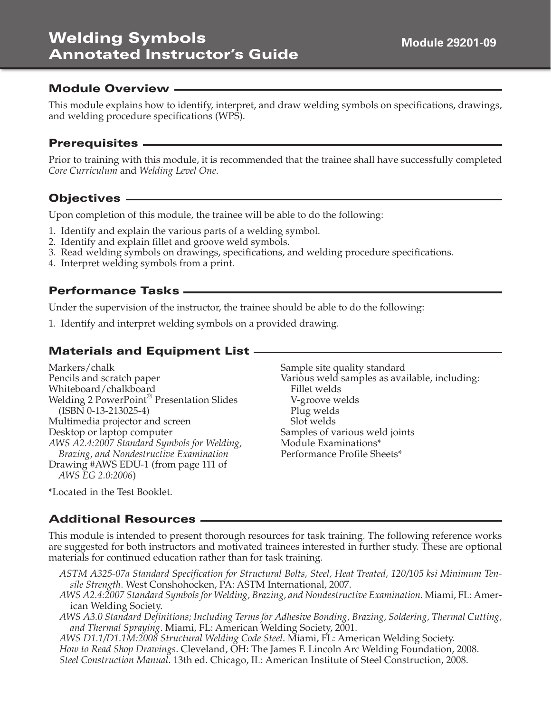# **Welding Symbols Annotated Instructor's Guide**

#### **Module Overview**

This module explains how to identify, interpret, and draw welding symbols on specifications, drawings, and welding procedure specifications (WPS).

#### **Prerequisites**

Prior to training with this module, it is recommended that the trainee shall have successfully completed *Core Curriculum* and *Welding Level One*.

#### **Objectives**

Upon completion of this module, the trainee will be able to do the following:

- 1. Identify and explain the various parts of a welding symbol.
- 2. Identify and explain fillet and groove weld symbols.
- 3. Read welding symbols on drawings, specifications, and welding procedure specifications.
- 4. Interpret welding symbols from a print.

#### **Performance Tasks**

Under the supervision of the instructor, the trainee should be able to do the following:

1. Identify and interpret welding symbols on a provided drawing.

## **Materials and Equipment List**

Markers/chalk Pencils and scratch paper Whiteboard/chalkboard Welding 2 PowerPoint® Presentation Slides (ISBN 0-13-213025-4) Multimedia projector and screen Desktop or laptop computer *AWS A2.4:2007 Standard Symbols for Welding, Brazing, and Nondestructive Examination* Drawing #AWS EDU-1 (from page 111 of *AWS EG 2.0:2006*)

Sample site quality standard Various weld samples as available, including: Fillet welds V-groove welds Plug welds Slot welds Samples of various weld joints Module Examinations\* Performance Profile Sheets\*

\*Located in the Test Booklet.

#### **Additional Resources**

This module is intended to present thorough resources for task training. The following reference works are suggested for both instructors and motivated trainees interested in further study. These are optional materials for continued education rather than for task training.

- *ASTM A325-07a Standard Specification for Structural Bolts, Steel, Heat Treated, 120/105 ksi Minimum Tensile Strength*. West Conshohocken, PA: ASTM International, 2007.
- *AWS A2.4:2007 Standard Symbols for Welding, Brazing, and Nondestructive Examination*. Miami, FL: American Welding Society.
- *AWS A3.0 Standard Definitions; Including Terms for Adhesive Bonding, Brazing, Soldering, Thermal Cutting, and Thermal Spraying*. Miami, FL: American Welding Society, 2001.

*AWS D1.1/D1.1M:2008 Structural Welding Code Steel*. Miami, FL: American Welding Society. *How to Read Shop Drawings*. Cleveland, OH: The James F. Lincoln Arc Welding Foundation, 2008. *Steel Construction Manual*. 13th ed. Chicago, IL: American Institute of Steel Construction, 2008.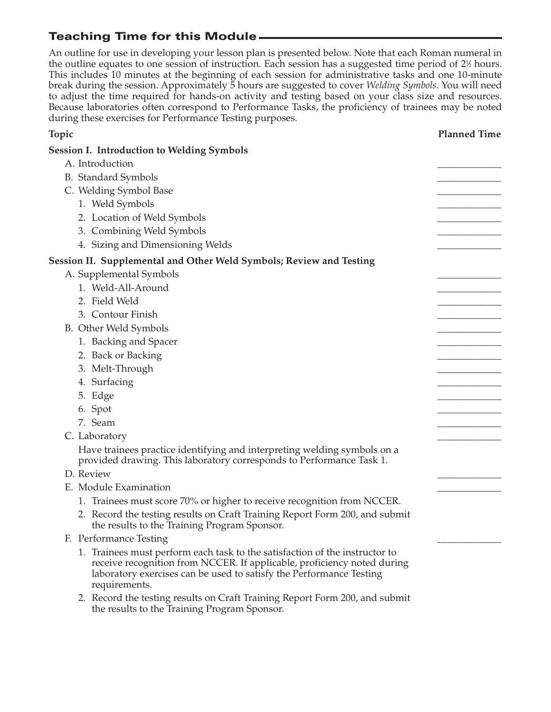# **Teaching Time for this Module**

An outline for use in developing your lesson plan is presented below. Note that each Roman numeral in the outline equates to one session of instruction. Each session has a suggested time period of  $2\%$  hours. This includes 10 minutes at the beginning of each session for administrative tasks and one 10-minute break during the session. Approximately 5 hours are suggested to cover *Welding Symbols*. You will need to adjust the time required for hands-on activity and testing based on your class size and resources. Because laboratories often correspond to Performance Tasks, the proficiency of trainees may be noted during these exercises for Performance Testing purposes.

| Topic                                                                                                                                                                                                                                                                                                                                                                                                       | <b>Planned Time</b> |
|-------------------------------------------------------------------------------------------------------------------------------------------------------------------------------------------------------------------------------------------------------------------------------------------------------------------------------------------------------------------------------------------------------------|---------------------|
| <b>Session I. Introduction to Welding Symbols</b>                                                                                                                                                                                                                                                                                                                                                           |                     |
| A. Introduction                                                                                                                                                                                                                                                                                                                                                                                             |                     |
| <b>B.</b> Standard Symbols                                                                                                                                                                                                                                                                                                                                                                                  |                     |
| C. Welding Symbol Base                                                                                                                                                                                                                                                                                                                                                                                      |                     |
| 1. Weld Symbols                                                                                                                                                                                                                                                                                                                                                                                             |                     |
| 2. Location of Weld Symbols                                                                                                                                                                                                                                                                                                                                                                                 |                     |
| 3. Combining Weld Symbols                                                                                                                                                                                                                                                                                                                                                                                   |                     |
| 4. Sizing and Dimensioning Welds                                                                                                                                                                                                                                                                                                                                                                            |                     |
| Session II. Supplemental and Other Weld Symbols; Review and Testing                                                                                                                                                                                                                                                                                                                                         |                     |
| A. Supplemental Symbols                                                                                                                                                                                                                                                                                                                                                                                     |                     |
| 1. Weld-All-Around                                                                                                                                                                                                                                                                                                                                                                                          |                     |
| 2. Field Weld                                                                                                                                                                                                                                                                                                                                                                                               |                     |
| 3. Contour Finish                                                                                                                                                                                                                                                                                                                                                                                           |                     |
| B. Other Weld Symbols                                                                                                                                                                                                                                                                                                                                                                                       |                     |
| 1. Backing and Spacer                                                                                                                                                                                                                                                                                                                                                                                       |                     |
| 2. Back or Backing                                                                                                                                                                                                                                                                                                                                                                                          |                     |
| 3. Melt-Through                                                                                                                                                                                                                                                                                                                                                                                             |                     |
| 4. Surfacing                                                                                                                                                                                                                                                                                                                                                                                                |                     |
| 5. Edge                                                                                                                                                                                                                                                                                                                                                                                                     |                     |
| 6. Spot                                                                                                                                                                                                                                                                                                                                                                                                     |                     |
| 7. Seam                                                                                                                                                                                                                                                                                                                                                                                                     |                     |
| C. Laboratory                                                                                                                                                                                                                                                                                                                                                                                               |                     |
| Have trainees practice identifying and interpreting welding symbols on a<br>provided drawing. This laboratory corresponds to Performance Task 1.                                                                                                                                                                                                                                                            |                     |
| D. Review                                                                                                                                                                                                                                                                                                                                                                                                   |                     |
| E. Module Examination                                                                                                                                                                                                                                                                                                                                                                                       |                     |
| 1. Trainees must score 70% or higher to receive recognition from NCCER.                                                                                                                                                                                                                                                                                                                                     |                     |
| 2. Record the testing results on Craft Training Report Form 200, and submit<br>the results to the Training Program Sponsor.                                                                                                                                                                                                                                                                                 |                     |
| F. Performance Testing                                                                                                                                                                                                                                                                                                                                                                                      |                     |
| 1. Trainees must perform each task to the satisfaction of the instructor to<br>receive recognition from NCCER. If applicable, proficiency noted during<br>laboratory exercises can be used to satisfy the Performance Testing<br>requirements.                                                                                                                                                              |                     |
| $\ldots$ 1. $\alpha$ $\alpha$ $\ldots$ $\ldots$ $\alpha$ $\alpha$ 1.1<br>$\mathbf{r}$ $\mathbf{r}$ $\mathbf{r}$ $\mathbf{r}$ $\mathbf{r}$ $\mathbf{r}$ $\mathbf{r}$ $\mathbf{r}$ $\mathbf{r}$ $\mathbf{r}$ $\mathbf{r}$ $\mathbf{r}$ $\mathbf{r}$ $\mathbf{r}$ $\mathbf{r}$ $\mathbf{r}$ $\mathbf{r}$ $\mathbf{r}$ $\mathbf{r}$ $\mathbf{r}$ $\mathbf{r}$ $\mathbf{r}$ $\mathbf{r}$ $\mathbf{r}$ $\mathbf{$ |                     |

2. Record the testing results on Craft Training Report Form 200, and submit the results to the Training Program Sponsor.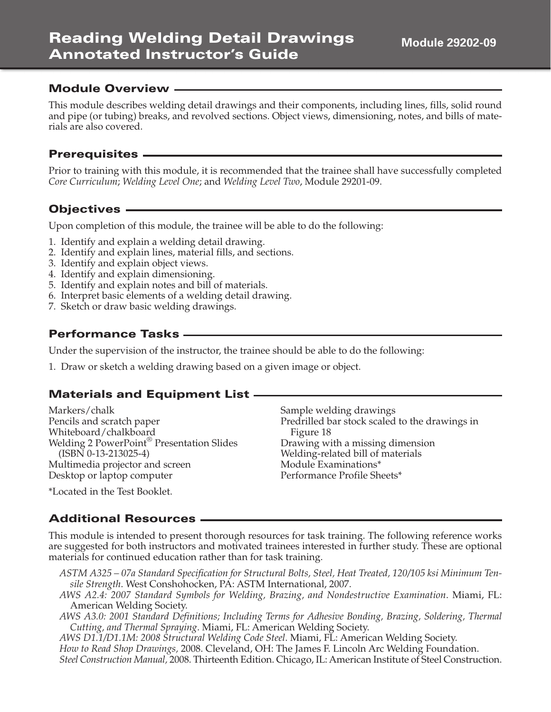#### **Module Overview**

This module describes welding detail drawings and their components, including lines, fills, solid round and pipe (or tubing) breaks, and revolved sections. Object views, dimensioning, notes, and bills of materials are also covered.

#### **Prerequisites**

Prior to training with this module, it is recommended that the trainee shall have successfully completed *Core Curriculum*; *Welding Level One*; and *Welding Level Two*, Module 29201-09.

#### **Objectives**

Upon completion of this module, the trainee will be able to do the following:

- 1. Identify and explain a welding detail drawing.
- 2. Identify and explain lines, material fills, and sections.
- 3. Identify and explain object views.
- 4. Identify and explain dimensioning.
- 5. Identify and explain notes and bill of materials.
- 6. Interpret basic elements of a welding detail drawing.
- 7. Sketch or draw basic welding drawings.

#### **Performance Tasks**

Under the supervision of the instructor, the trainee should be able to do the following:

1. Draw or sketch a welding drawing based on a given image or object.

## **Materials and Equipment List**

| Markers/chalk                                         | Sample welding drawings                        |
|-------------------------------------------------------|------------------------------------------------|
| Pencils and scratch paper                             | Predrilled bar stock scaled to the drawings in |
| Whiteboard/chalkboard                                 | Figure 18                                      |
| Welding 2 PowerPoint <sup>®</sup> Presentation Slides | Drawing with a missing dimension               |
| $(ISBN 0-13-213025-4)$                                | Welding-related bill of materials              |
| Multimedia projector and screen                       | Module Examinations*                           |
| Desktop or laptop computer                            | Performance Profile Sheets*                    |
| $*L$ and $L$ in the Test Deal dat                     |                                                |

Located in the Test Booklet.

#### **Additional Resources**

This module is intended to present thorough resources for task training. The following reference works are suggested for both instructors and motivated trainees interested in further study. These are optional materials for continued education rather than for task training.

- *ASTM A325 07a Standard Specification for Structural Bolts, Steel, Heat Treated, 120/105 ksi Minimum Tensile Strength*. West Conshohocken, PA: ASTM International, 2007.
- *AWS A2.4: 2007 Standard Symbols for Welding, Brazing, and Nondestructive Examination*. Miami, FL: American Welding Society.
- *AWS A3.0: 2001 Standard Definitions; Including Terms for Adhesive Bonding, Brazing, Soldering, Thermal Cutting, and Thermal Spraying*. Miami, FL: American Welding Society.

*AWS D1.1/D1.1M: 2008 Structural Welding Code Steel*. Miami, FL: American Welding Society.

*How to Read Shop Drawings,* 2008. Cleveland, OH: The James F. Lincoln Arc Welding Foundation.

*Steel Construction Manual,* 2008. Thirteenth Edition. Chicago, IL: American Institute of Steel Construction.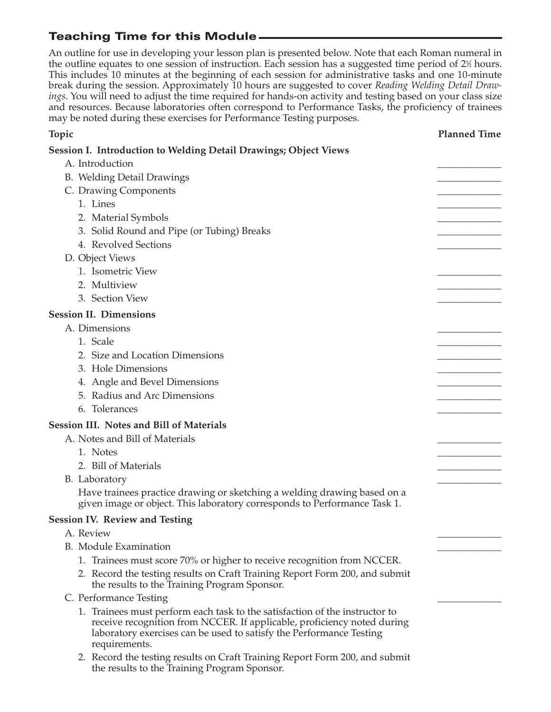# **Teaching Time for this Module**

An outline for use in developing your lesson plan is presented below. Note that each Roman numeral in the outline equates to one session of instruction. Each session has a suggested time period of  $2\%$  hours. This includes 10 minutes at the beginning of each session for administrative tasks and one 10-minute break during the session. Approximately 10 hours are suggested to cover *Reading Welding Detail Drawings*. You will need to adjust the time required for hands-on activity and testing based on your class size and resources. Because laboratories often correspond to Performance Tasks, the proficiency of trainees may be noted during these exercises for Performance Testing purposes.

| Topic                                                                                                                                                                                                                                          | <b>Planned Time</b> |
|------------------------------------------------------------------------------------------------------------------------------------------------------------------------------------------------------------------------------------------------|---------------------|
| <b>Session I. Introduction to Welding Detail Drawings; Object Views</b>                                                                                                                                                                        |                     |
| A. Introduction                                                                                                                                                                                                                                |                     |
| B. Welding Detail Drawings                                                                                                                                                                                                                     |                     |
| C. Drawing Components                                                                                                                                                                                                                          |                     |
| 1. Lines                                                                                                                                                                                                                                       |                     |
| 2. Material Symbols                                                                                                                                                                                                                            |                     |
| 3. Solid Round and Pipe (or Tubing) Breaks                                                                                                                                                                                                     |                     |
| 4. Revolved Sections                                                                                                                                                                                                                           |                     |
| D. Object Views                                                                                                                                                                                                                                |                     |
| 1. Isometric View                                                                                                                                                                                                                              |                     |
| 2. Multiview                                                                                                                                                                                                                                   |                     |
| 3. Section View                                                                                                                                                                                                                                |                     |
| <b>Session II. Dimensions</b>                                                                                                                                                                                                                  |                     |
| A. Dimensions                                                                                                                                                                                                                                  |                     |
| 1. Scale                                                                                                                                                                                                                                       |                     |
| 2. Size and Location Dimensions                                                                                                                                                                                                                |                     |
| 3. Hole Dimensions                                                                                                                                                                                                                             |                     |
| 4. Angle and Bevel Dimensions                                                                                                                                                                                                                  |                     |
| 5. Radius and Arc Dimensions                                                                                                                                                                                                                   |                     |
| 6. Tolerances                                                                                                                                                                                                                                  |                     |
| <b>Session III. Notes and Bill of Materials</b>                                                                                                                                                                                                |                     |
| A. Notes and Bill of Materials                                                                                                                                                                                                                 |                     |
| 1. Notes                                                                                                                                                                                                                                       |                     |
| 2. Bill of Materials                                                                                                                                                                                                                           |                     |
| B. Laboratory                                                                                                                                                                                                                                  |                     |
| Have trainees practice drawing or sketching a welding drawing based on a<br>given image or object. This laboratory corresponds to Performance Task 1.                                                                                          |                     |
| <b>Session IV. Review and Testing</b>                                                                                                                                                                                                          |                     |
| A. Review                                                                                                                                                                                                                                      |                     |
| B. Module Examination                                                                                                                                                                                                                          |                     |
| 1. Trainees must score 70% or higher to receive recognition from NCCER.                                                                                                                                                                        |                     |
| 2. Record the testing results on Craft Training Report Form 200, and submit<br>the results to the Training Program Sponsor.                                                                                                                    |                     |
| C. Performance Testing                                                                                                                                                                                                                         |                     |
| 1. Trainees must perform each task to the satisfaction of the instructor to<br>receive recognition from NCCER. If applicable, proficiency noted during<br>laboratory exercises can be used to satisfy the Performance Testing<br>requirements. |                     |
| 2. Record the testing results on Craft Training Report Form 200, and submit<br>the results to the Training Program Sponsor.                                                                                                                    |                     |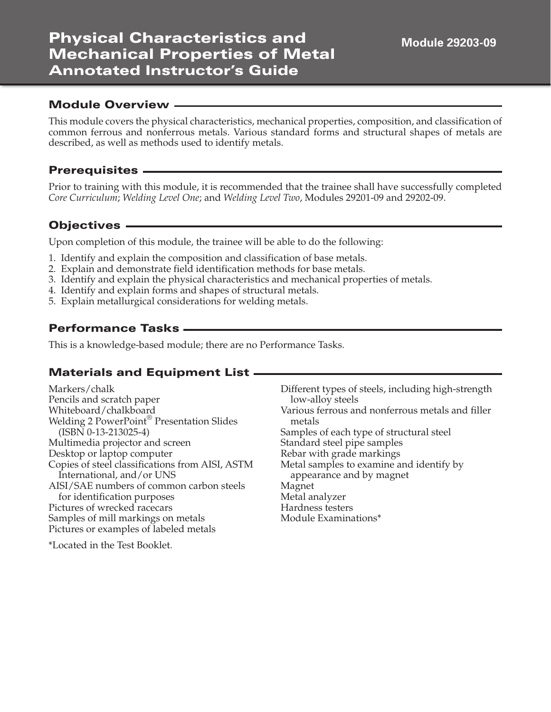# **Physical Characteristics and Mechanical Properties of Metal Annotated Instructor's Guide**

#### **Module Overview**

This module covers the physical characteristics, mechanical properties, composition, and classification of common ferrous and nonferrous metals. Various standard forms and structural shapes of metals are described, as well as methods used to identify metals.

#### **Prerequisites**

Prior to training with this module, it is recommended that the trainee shall have successfully completed *Core Curriculum*; *Welding Level One*; and *Welding Level Two*, Modules 29201-09 and 29202-09.

#### **Objectives**

Upon completion of this module, the trainee will be able to do the following:

- 1. Identify and explain the composition and classification of base metals.
- 2. Explain and demonstrate field identification methods for base metals.
- 3. Identify and explain the physical characteristics and mechanical properties of metals.
- 4. Identify and explain forms and shapes of structural metals.
- 5. Explain metallurgical considerations for welding metals.

#### **Performance Tasks**

This is a knowledge-based module; there are no Performance Tasks.

#### **Materials and Equipment List**

Markers/chalk Pencils and scratch paper Whiteboard/chalkboard Welding 2 PowerPoint® Presentation Slides (ISBN 0-13-213025-4) Multimedia projector and screen Desktop or laptop computer Copies of steel classifications from AISI, ASTM International, and/or UNS AISI/SAE numbers of common carbon steels for identification purposes Pictures of wrecked racecars Samples of mill markings on metals Pictures or examples of labeled metals metals Magnet Metal analyzer Hardness testers

\*Located in the Test Booklet.

Different types of steels, including high-strength low-alloy steels Various ferrous and nonferrous metals and filler Samples of each type of structural steel Standard steel pipe samples Rebar with grade markings Metal samples to examine and identify by appearance and by magnet Module Examinations\*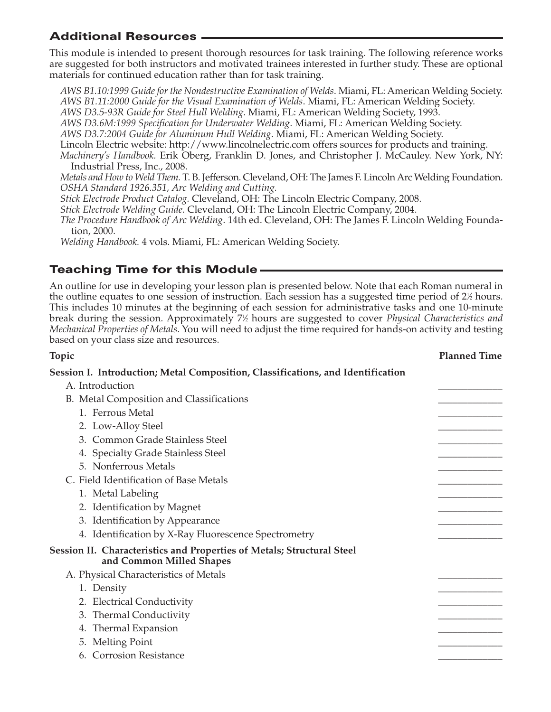## **Additional Resources**

This module is intended to present thorough resources for task training. The following reference works are suggested for both instructors and motivated trainees interested in further study. These are optional materials for continued education rather than for task training.

*AWS B1.10:1999 Guide for the Nondestructive Examination of Welds*. Miami, FL: American Welding Society. *AWS B1.11:2000 Guide for the Visual Examination of Welds*. Miami, FL: American Welding Society.

*AWS D3.5-93R Guide for Steel Hull Welding*. Miami, FL: American Welding Society, 1993.

*AWS D3.6M:1999 Specification for Underwater Welding*. Miami, FL: American Welding Society.

*AWS D3.7:2004 Guide for Aluminum Hull Welding*. Miami, FL: American Welding Society.

Lincoln Electric website: http://www.lincolnelectric.com offers sources for products and training.

*Machinery's Handbook.* Erik Oberg, Franklin D. Jones, and Christopher J. McCauley. New York, NY: Industrial Press, Inc., 2008.

*Metals and How to Weld Them.* T. B. Jefferson. Cleveland, OH: The James F. Lincoln Arc Welding Foundation. *OSHA Standard 1926.351, Arc Welding and Cutting.*

*Stick Electrode Product Catalog.* Cleveland, OH: The Lincoln Electric Company, 2008.

*Stick Electrode Welding Guide.* Cleveland, OH: The Lincoln Electric Company, 2004.

*The Procedure Handbook of Arc Welding*. 14th ed. Cleveland, OH: The James F. Lincoln Welding Foundation, 2000.

*Welding Handbook.* 4 vols. Miami, FL: American Welding Society.

## **Teaching Time for this Module**

An outline for use in developing your lesson plan is presented below. Note that each Roman numeral in the outline equates to one session of instruction. Each session has a suggested time period of 2½ hours. This includes 10 minutes at the beginning of each session for administrative tasks and one 10-minute break during the session. Approximately 71 ⁄2 hours are suggested to cover *Physical Characteristics and Mechanical Properties of Metals*. You will need to adjust the time required for hands-on activity and testing based on your class size and resources.

## **Topic Planned Time Session I. Introduction; Metal Composition, Classifications, and Identification** A. Introduction B. Metal Composition and Classifications 1. Ferrous Metal 2. Low-Alloy Steel 3. Common Grade Stainless Steel 4. Specialty Grade Stainless Steel 5. Nonferrous Metals C. Field Identification of Base Metals 1. Metal Labeling 2. Identification by Magnet 3. Identification by Appearance 4. Identification by X-Ray Fluorescence Spectrometry **Session II. Characteristics and Properties of Metals; Structural Steel and Common Milled Shapes** A. Physical Characteristics of Metals 1. Density \_\_\_\_\_\_\_\_\_\_\_\_\_ 2. Electrical Conductivity 3. Thermal Conductivity 4. Thermal Expansion 5. Melting Point 6. Corrosion Resistance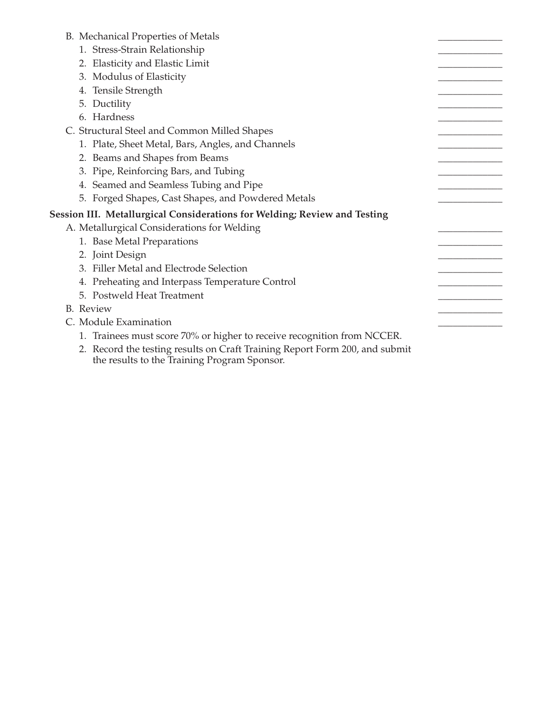#### B. Mechanical Properties of Metals

- 1. Stress-Strain Relationship
- 2. Elasticity and Elastic Limit
- 3. Modulus of Elasticity
- 4. Tensile Strength
- 5. Ductility
- 6. Hardness
- C. Structural Steel and Common Milled Shapes
	- 1. Plate, Sheet Metal, Bars, Angles, and Channels
	- 2. Beams and Shapes from Beams
	- 3. Pipe, Reinforcing Bars, and Tubing
	- 4. Seamed and Seamless Tubing and Pipe
	- 5. Forged Shapes, Cast Shapes, and Powdered Metals

#### **Session III. Metallurgical Considerations for Welding; Review and Testing**

- A. Metallurgical Considerations for Welding
	- 1. Base Metal Preparations
	- 2. Joint Design
	- 3. Filler Metal and Electrode Selection
	- 4. Preheating and Interpass Temperature Control
	- 5. Postweld Heat Treatment
- B. Review \_\_\_\_\_\_\_\_\_\_\_\_\_
- C. Module Examination
	- 1. Trainees must score 70% or higher to receive recognition from NCCER.
	- 2. Record the testing results on Craft Training Report Form 200, and submit the results to the Training Program Sponsor.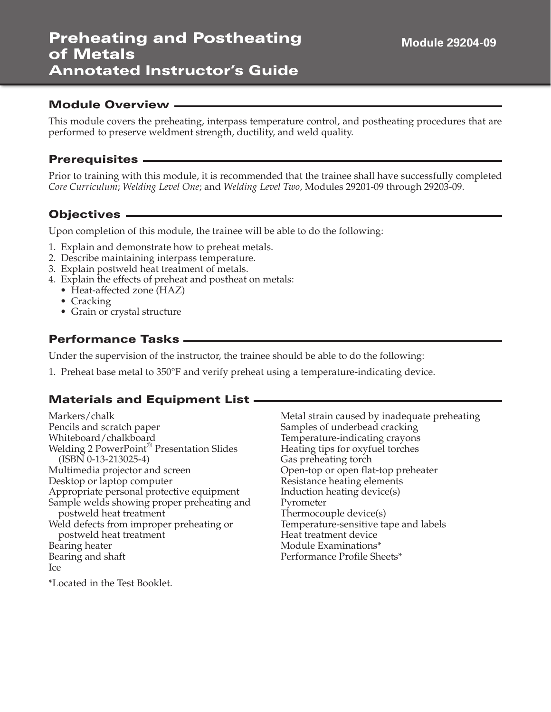# **Preheating and Postheating of Metals Annotated Instructor's Guide**

#### **Module Overview**

This module covers the preheating, interpass temperature control, and postheating procedures that are performed to preserve weldment strength, ductility, and weld quality.

#### **Prerequisites**

Prior to training with this module, it is recommended that the trainee shall have successfully completed *Core Curriculum*; *Welding Level One*; and *Welding Level Two*, Modules 29201-09 through 29203-09.

## **Objectives**

Upon completion of this module, the trainee will be able to do the following:

- 1. Explain and demonstrate how to preheat metals.
- 2. Describe maintaining interpass temperature.
- 3. Explain postweld heat treatment of metals.
- 4. Explain the effects of preheat and postheat on metals:
	- Heat-affected zone (HAZ)
	- Cracking
	- Grain or crystal structure

#### **Performance Tasks**

Under the supervision of the instructor, the trainee should be able to do the following:

1. Preheat base metal to 350°F and verify preheat using a temperature-indicating device.

#### **Materials and Equipment List**

Markers/chalk Pencils and scratch paper Whiteboard/chalkboard Welding 2 PowerPoint® Presentation Slides (ISBN 0-13-213025-4) Multimedia projector and screen Desktop or laptop computer Appropriate personal protective equipment Sample welds showing proper preheating and postweld heat treatment Weld defects from improper preheating or postweld heat treatment Bearing heater Bearing and shaft Ice \*Located in the Test Booklet.

Metal strain caused by inadequate preheating Samples of underbead cracking Temperature-indicating crayons Heating tips for oxyfuel torches Gas preheating torch Open-top or open flat-top preheater Resistance heating elements Induction heating device(s) Pyrometer Thermocouple device(s) Temperature-sensitive tape and labels Heat treatment device Module Examinations\* Performance Profile Sheets\*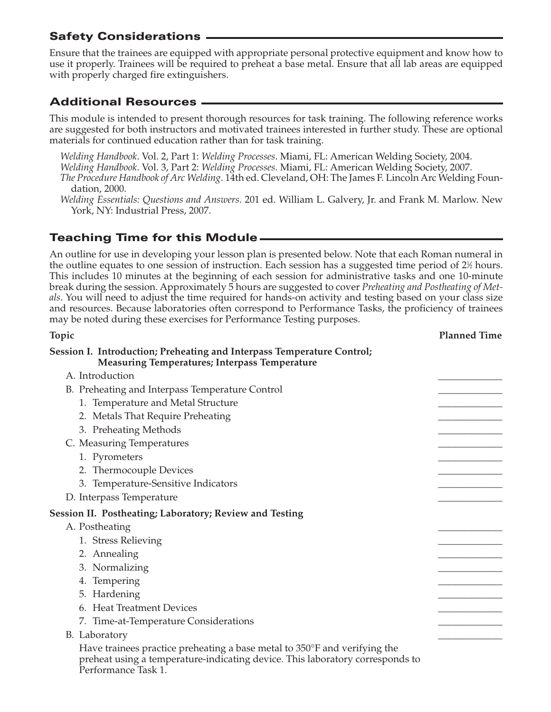## **Safety Considerations**

Ensure that the trainees are equipped with appropriate personal protective equipment and know how to use it properly. Trainees will be required to preheat a base metal. Ensure that all lab areas are equipped with properly charged fire extinguishers.

## **Additional Resources**

This module is intended to present thorough resources for task training. The following reference works are suggested for both instructors and motivated trainees interested in further study. These are optional materials for continued education rather than for task training.

*Welding Handbook*. Vol. 2, Part 1: *Welding Processes*. Miami, FL: American Welding Society, 2004. *Welding Handbook*. Vol. 3, Part 2: *Welding Processes*. Miami, FL: American Welding Society, 2007. *The Procedure Handbook of Arc Welding*. 14th ed. Cleveland, OH: The James F. Lincoln Arc Welding Foundation, 2000.

*Welding Essentials: Questions and Answers*. 201 ed. William L. Galvery, Jr. and Frank M. Marlow. New York, NY: Industrial Press, 2007.

#### **Teaching Time for this Module**

An outline for use in developing your lesson plan is presented below. Note that each Roman numeral in the outline equates to one session of instruction. Each session has a suggested time period of  $2\%$  hours. This includes 10 minutes at the beginning of each session for administrative tasks and one 10-minute break during the session. Approximately 5 hours are suggested to cover *Preheating and Postheating of Metals*. You will need to adjust the time required for hands-on activity and testing based on your class size and resources. Because laboratories often correspond to Performance Tasks, the proficiency of trainees may be noted during these exercises for Performance Testing purposes.

| Topic                                                                                                                                                                             | <b>Planned Time</b> |
|-----------------------------------------------------------------------------------------------------------------------------------------------------------------------------------|---------------------|
| Session I. Introduction; Preheating and Interpass Temperature Control;<br><b>Measuring Temperatures; Interpass Temperature</b>                                                    |                     |
| A. Introduction                                                                                                                                                                   |                     |
| B. Preheating and Interpass Temperature Control                                                                                                                                   |                     |
| 1. Temperature and Metal Structure                                                                                                                                                |                     |
| 2. Metals That Require Preheating                                                                                                                                                 |                     |
| 3. Preheating Methods                                                                                                                                                             |                     |
| C. Measuring Temperatures                                                                                                                                                         |                     |
| 1. Pyrometers                                                                                                                                                                     |                     |
| 2. Thermocouple Devices                                                                                                                                                           |                     |
| 3. Temperature-Sensitive Indicators                                                                                                                                               |                     |
| D. Interpass Temperature                                                                                                                                                          |                     |
| <b>Session II. Postheating; Laboratory; Review and Testing</b>                                                                                                                    |                     |
| A. Postheating                                                                                                                                                                    |                     |
| 1. Stress Relieving                                                                                                                                                               |                     |
| 2. Annealing                                                                                                                                                                      |                     |
| 3. Normalizing                                                                                                                                                                    |                     |
| 4. Tempering                                                                                                                                                                      |                     |
| 5. Hardening                                                                                                                                                                      |                     |
| 6. Heat Treatment Devices                                                                                                                                                         |                     |
| 7. Time-at-Temperature Considerations                                                                                                                                             |                     |
| B. Laboratory                                                                                                                                                                     |                     |
| Have trainees practice preheating a base metal to 350°F and verifying the<br>preheat using a temperature-indicating device. This laboratory corresponds to<br>Performance Task 1. |                     |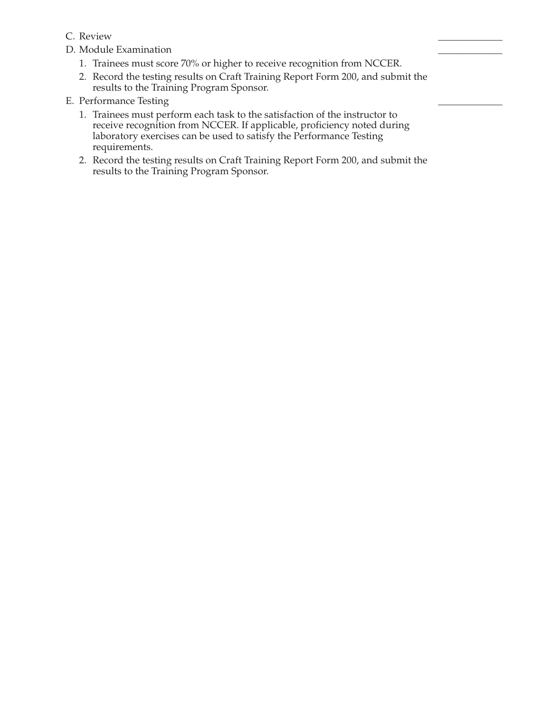- C. Review \_\_\_\_\_\_\_\_\_\_\_\_\_
- D. Module Examination
	- 1. Trainees must score 70% or higher to receive recognition from NCCER.
	- 2. Record the testing results on Craft Training Report Form 200, and submit the results to the Training Program Sponsor.
- E. Performance Testing
	- 1. Trainees must perform each task to the satisfaction of the instructor to receive recognition from NCCER. If applicable, proficiency noted during laboratory exercises can be used to satisfy the Performance Testing requirements.
	- 2. Record the testing results on Craft Training Report Form 200, and submit the results to the Training Program Sponsor.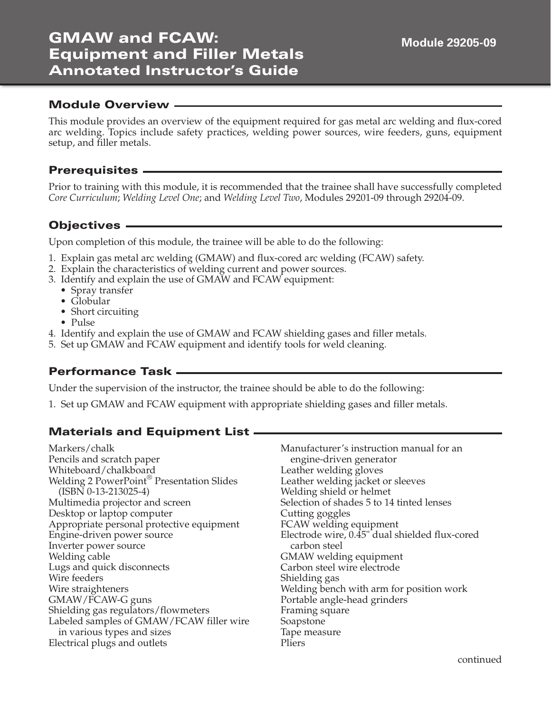# **GMAW and FCAW: Equipment and Filler Metals Annotated Instructor's Guide**

#### **Module Overview**

This module provides an overview of the equipment required for gas metal arc welding and flux-cored arc welding. Topics include safety practices, welding power sources, wire feeders, guns, equipment setup, and filler metals.

#### **Prerequisites**

Prior to training with this module, it is recommended that the trainee shall have successfully completed *Core Curriculum*; *Welding Level One*; and *Welding Level Two*, Modules 29201-09 through 29204-09.

## **Objectives**

Upon completion of this module, the trainee will be able to do the following:

- 1. Explain gas metal arc welding (GMAW) and flux-cored arc welding (FCAW) safety.
- 2. Explain the characteristics of welding current and power sources.
- 3. Identify and explain the use of GMAW and FCAW equipment:
	- Spray transfer
	- Globular
	- Short circuiting
	- Pulse
- 4. Identify and explain the use of GMAW and FCAW shielding gases and filler metals.
- 5. Set up GMAW and FCAW equipment and identify tools for weld cleaning.

#### **Performance Task**

Under the supervision of the instructor, the trainee should be able to do the following:

1. Set up GMAW and FCAW equipment with appropriate shielding gases and filler metals.

#### **Materials and Equipment List**

Markers/chalk Pencils and scratch paper Whiteboard/chalkboard Welding 2 PowerPoint® Presentation Slides (ISBN 0-13-213025-4) Multimedia projector and screen Desktop or laptop computer Appropriate personal protective equipment Engine-driven power source Inverter power source Welding cable Lugs and quick disconnects Wire feeders Wire straighteners GMAW/FCAW-G guns Shielding gas regulators/flowmeters Labeled samples of GMAW/FCAW filler wire in various types and sizes Electrical plugs and outlets

Manufacturer's instruction manual for an engine-driven generator Leather welding gloves Leather welding jacket or sleeves Welding shield or helmet Selection of shades 5 to 14 tinted lenses Cutting goggles FCAW welding equipment Electrode wire, 0.45" dual shielded flux-cored carbon steel GMAW welding equipment Carbon steel wire electrode Shielding gas Welding bench with arm for position work Portable angle-head grinders Framing square Soapstone Tape measure Pliers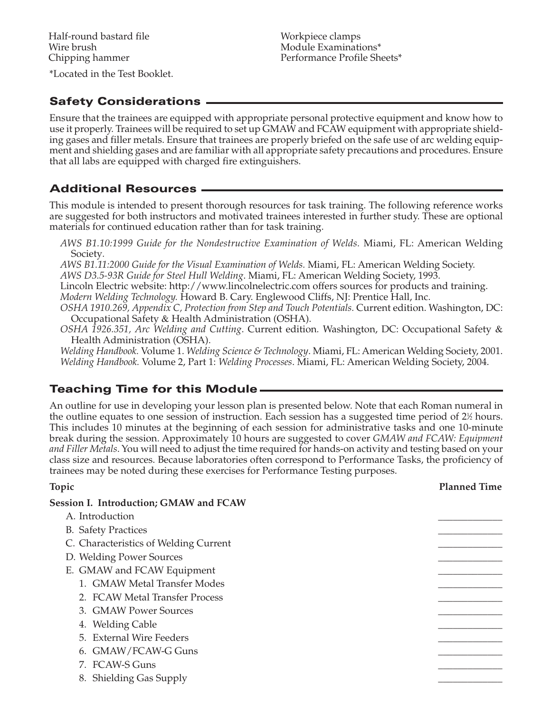\*Located in the Test Booklet.

## **Safety Considerations**

Ensure that the trainees are equipped with appropriate personal protective equipment and know how to use it properly. Trainees will be required to set up GMAW and FCAW equipment with appropriate shielding gases and filler metals. Ensure that trainees are properly briefed on the safe use of arc welding equipment and shielding gases and are familiar with all appropriate safety precautions and procedures. Ensure that all labs are equipped with charged fire extinguishers.

## **Additional Resources**

This module is intended to present thorough resources for task training. The following reference works are suggested for both instructors and motivated trainees interested in further study. These are optional materials for continued education rather than for task training.

*AWS B1.10:1999 Guide for the Nondestructive Examination of Welds.* Miami, FL: American Welding Society*.*

*AWS B1.11:2000 Guide for the Visual Examination of Welds.* Miami, FL: American Welding Society.

*AWS D3.5-93R Guide for Steel Hull Welding*. Miami, FL: American Welding Society, 1993.

Lincoln Electric website: http://www.lincolnelectric.com offers sources for products and training. *Modern Welding Technology.* Howard B. Cary. Englewood Cliffs, NJ: Prentice Hall, Inc.

*OSHA 1910.269, Appendix C, Protection from Step and Touch Potentials.* Current edition. Washington, DC: Occupational Safety & Health Administration (OSHA).

*OSHA 1926.351, Arc Welding and Cutting*. Current edition*.* Washington, DC: Occupational Safety & Health Administration (OSHA).

*Welding Handbook.* Volume 1. *Welding Science & Technology*. Miami, FL: American Welding Society, 2001. *Welding Handbook.* Volume 2, Part 1: *Welding Processes*. Miami, FL: American Welding Society, 2004.

# **Teaching Time for this Module**

An outline for use in developing your lesson plan is presented below. Note that each Roman numeral in the outline equates to one session of instruction. Each session has a suggested time period of  $2\%$  hours. This includes 10 minutes at the beginning of each session for administrative tasks and one 10-minute break during the session. Approximately 10 hours are suggested to cover *GMAW and FCAW: Equipment and Filler Metals*. You will need to adjust the time required for hands-on activity and testing based on your class size and resources. Because laboratories often correspond to Performance Tasks, the proficiency of trainees may be noted during these exercises for Performance Testing purposes.

# **Topic Planned Time**

| <b>Session I. Introduction; GMAW and FCAW</b> |  |
|-----------------------------------------------|--|
| A. Introduction                               |  |
| <b>B.</b> Safety Practices                    |  |
| C. Characteristics of Welding Current         |  |
| D. Welding Power Sources                      |  |
| E. GMAW and FCAW Equipment                    |  |
| 1. GMAW Metal Transfer Modes                  |  |
| 2. FCAW Metal Transfer Process                |  |
| 3. GMAW Power Sources                         |  |
| 4. Welding Cable                              |  |
| 5. External Wire Feeders                      |  |
| 6. GMAW/FCAW-G Guns                           |  |
| 7. FCAW-S Guns                                |  |
| 8. Shielding Gas Supply                       |  |
|                                               |  |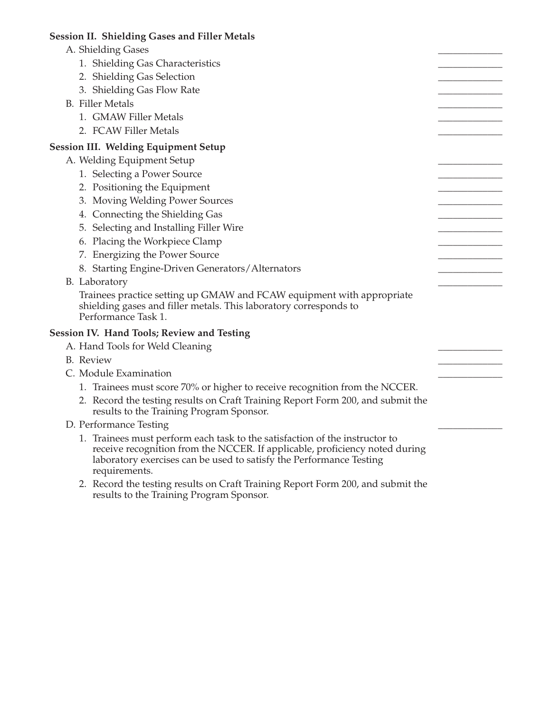#### **Session II. Shielding Gases and Filler Metals** A. Shielding Gases 1. Shielding Gas Characteristics 2. Shielding Gas Selection 3. Shielding Gas Flow Rate B. Filler Metals 1. GMAW Filler Metals 2. FCAW Filler Metals **Session III. Welding Equipment Setup** A. Welding Equipment Setup 1. Selecting a Power Source 2. Positioning the Equipment 3. Moving Welding Power Sources 4. Connecting the Shielding Gas 5. Selecting and Installing Filler Wire 6. Placing the Workpiece Clamp 7. Energizing the Power Source 8. Starting Engine-Driven Generators/Alternators B. Laboratory Trainees practice setting up GMAW and FCAW equipment with appropriate shielding gases and filler metals. This laboratory corresponds to Performance Task 1. **Session IV. Hand Tools; Review and Testing** A. Hand Tools for Weld Cleaning B. Review \_\_\_\_\_\_\_\_\_\_\_\_\_ C. Module Examination 1. Trainees must score 70% or higher to receive recognition from the NCCER. 2. Record the testing results on Craft Training Report Form 200, and submit the results to the Training Program Sponsor. D. Performance Testing 1. Trainees must perform each task to the satisfaction of the instructor to receive recognition from the NCCER. If applicable, proficiency noted during laboratory exercises can be used to satisfy the Performance Testing requirements. 2. Record the testing results on Craft Training Report Form 200, and submit the

results to the Training Program Sponsor.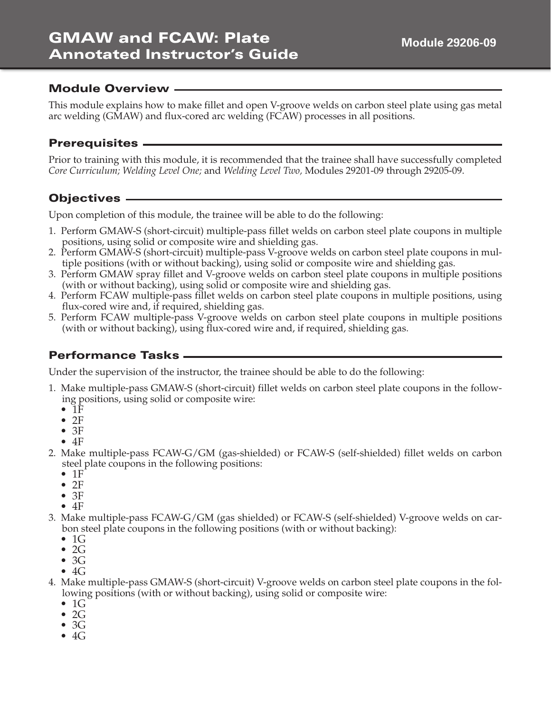#### **Module Overview**

This module explains how to make fillet and open V-groove welds on carbon steel plate using gas metal arc welding (GMAW) and flux-cored arc welding (FCAW) processes in all positions.

## **Prerequisites**

Prior to training with this module, it is recommended that the trainee shall have successfully completed *Core Curriculum; Welding Level One;* and *Welding Level Two,* Modules 29201-09 through 29205-09.

# **Objectives**

Upon completion of this module, the trainee will be able to do the following:

- 1. Perform GMAW-S (short-circuit) multiple-pass fillet welds on carbon steel plate coupons in multiple positions, using solid or composite wire and shielding gas.
- 2. Perform GMAW-S (short-circuit) multiple-pass V-groove welds on carbon steel plate coupons in multiple positions (with or without backing), using solid or composite wire and shielding gas.
- 3. Perform GMAW spray fillet and V-groove welds on carbon steel plate coupons in multiple positions (with or without backing), using solid or composite wire and shielding gas.
- 4. Perform FCAW multiple-pass fillet welds on carbon steel plate coupons in multiple positions, using flux-cored wire and, if required, shielding gas.
- 5. Perform FCAW multiple-pass V-groove welds on carbon steel plate coupons in multiple positions (with or without backing), using flux-cored wire and, if required, shielding gas.

## **Performance Tasks**

Under the supervision of the instructor, the trainee should be able to do the following:

- 1. Make multiple-pass GMAW-S (short-circuit) fillet welds on carbon steel plate coupons in the following positions, using solid or composite wire:
	- $\bullet$  1F
	- $\bullet$  2F
	- $3F$
	- 4F
- 2. Make multiple-pass FCAW-G/GM (gas-shielded) or FCAW-S (self-shielded) fillet welds on carbon steel plate coupons in the following positions:
	- $1F$
	- $\bullet$  2F
	- $\bullet$  3F
	- $4F$
- 3. Make multiple-pass FCAW-G/GM (gas shielded) or FCAW-S (self-shielded) V-groove welds on carbon steel plate coupons in the following positions (with or without backing):
	- $\bullet$  1G
	- $\bullet$  2G
	- $\bullet$  3G
	- $\bullet$  4G
- 4. Make multiple-pass GMAW-S (short-circuit) V-groove welds on carbon steel plate coupons in the following positions (with or without backing), using solid or composite wire:
	- $\bullet$  1G
	- $\bullet$  2G
	- $3G$
	- $\bullet$  4G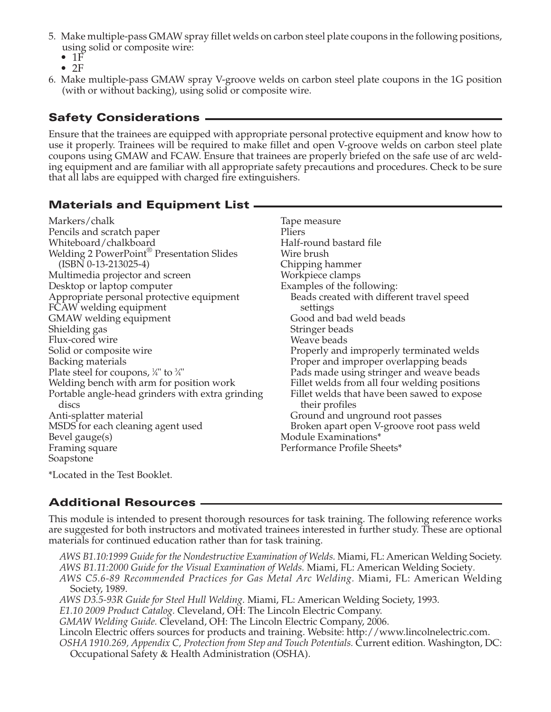- 5. Make multiple-pass GMAW spray fillet welds on carbon steel plate coupons in the following positions, using solid or composite wire:
	- $\bullet$  1 $\check{F}$
	- $\bullet$  2F
- 6. Make multiple-pass GMAW spray V-groove welds on carbon steel plate coupons in the 1G position (with or without backing), using solid or composite wire.

# **Safety Considerations**

Ensure that the trainees are equipped with appropriate personal protective equipment and know how to use it properly. Trainees will be required to make fillet and open V-groove welds on carbon steel plate coupons using GMAW and FCAW. Ensure that trainees are properly briefed on the safe use of arc welding equipment and are familiar with all appropriate safety precautions and procedures. Check to be sure that all labs are equipped with charged fire extinguishers.

# **Materials and Equipment List**

\*Located in the Test Booklet.

## **Additional Resources**

This module is intended to present thorough resources for task training. The following reference works are suggested for both instructors and motivated trainees interested in further study. These are optional materials for continued education rather than for task training.

*AWS B1.10:1999 Guide for the Nondestructive Examination of Welds.* Miami, FL: American Welding Society. *AWS B1.11:2000 Guide for the Visual Examination of Welds.* Miami, FL: American Welding Society*.*

*AWS C5.6-89 Recommended Practices for Gas Metal Arc Welding.* Miami, FL: American Welding Society, 1989.

*AWS D3.5-93R Guide for Steel Hull Welding.* Miami, FL: American Welding Society, 1993.

*E1.10 2009 Product Catalog.* Cleveland, OH: The Lincoln Electric Company.

*GMAW Welding Guide.* Cleveland, OH: The Lincoln Electric Company, 2006.

Lincoln Electric offers sources for products and training. Website: http://www.lincolnelectric.com.

*OSHA 1910.269, Appendix C, Protection from Step and Touch Potentials.* Current edition. Washington, DC: Occupational Safety & Health Administration (OSHA).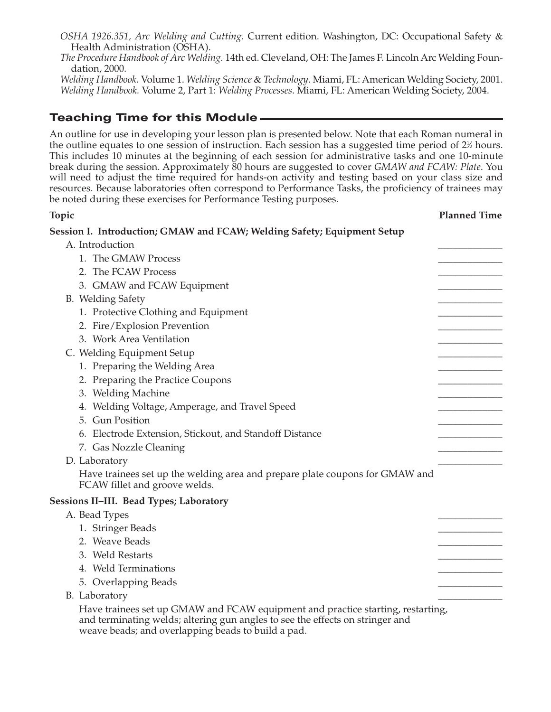*OSHA 1926.351, Arc Welding and Cutting.* Current edition. Washington, DC: Occupational Safety & Health Administration (OSHA).

*The Procedure Handbook of Arc Welding.* 14th ed. Cleveland, OH: The James F. Lincoln Arc Welding Foundation, 2000.

*Welding Handbook.* Volume 1. *Welding Science* & *Technology*. Miami, FL: American Welding Society, 2001. *Welding Handbook.* Volume 2, Part 1: *Welding Processes*. Miami, FL: American Welding Society, 2004.

# **Teaching Time for this Module**

An outline for use in developing your lesson plan is presented below. Note that each Roman numeral in the outline equates to one session of instruction. Each session has a suggested time period of  $2\%$  hours. This includes 10 minutes at the beginning of each session for administrative tasks and one 10-minute break during the session. Approximately 80 hours are suggested to cover *GMAW and FCAW: Plate*. You will need to adjust the time required for hands-on activity and testing based on your class size and resources. Because laboratories often correspond to Performance Tasks, the proficiency of trainees may be noted during these exercises for Performance Testing purposes.

**Topic Planned Time**

| Session I.  Introduction; GMAW and FCAW; Welding Safety; Equipment Setup                                      |  |
|---------------------------------------------------------------------------------------------------------------|--|
| A. Introduction                                                                                               |  |
| 1. The GMAW Process                                                                                           |  |
| 2. The FCAW Process                                                                                           |  |
| 3. GMAW and FCAW Equipment                                                                                    |  |
| B. Welding Safety                                                                                             |  |
| 1. Protective Clothing and Equipment                                                                          |  |
| 2. Fire/Explosion Prevention                                                                                  |  |
| 3. Work Area Ventilation                                                                                      |  |
| C. Welding Equipment Setup                                                                                    |  |
| 1. Preparing the Welding Area                                                                                 |  |
| 2. Preparing the Practice Coupons                                                                             |  |
| 3. Welding Machine                                                                                            |  |
| 4. Welding Voltage, Amperage, and Travel Speed                                                                |  |
| 5. Gun Position                                                                                               |  |
| 6. Electrode Extension, Stickout, and Standoff Distance                                                       |  |
| 7. Gas Nozzle Cleaning                                                                                        |  |
| D. Laboratory                                                                                                 |  |
| Have trainees set up the welding area and prepare plate coupons for GMAW and<br>FCAW fillet and groove welds. |  |
| <b>Sessions II–III. Bead Types; Laboratory</b>                                                                |  |
| A. Bead Types                                                                                                 |  |
| 1. Stringer Beads                                                                                             |  |
| 2. Weave Beads                                                                                                |  |
| 3. Weld Restarts                                                                                              |  |
| 4. Weld Terminations                                                                                          |  |
| 5. Overlapping Beads                                                                                          |  |
| B. Laboratory                                                                                                 |  |
| Have trainees set up GMAW and FCAW equipment and practice starting, restarting,                               |  |

and terminating welds; altering gun angles to see the effects on stringer and weave beads; and overlapping beads to build a pad.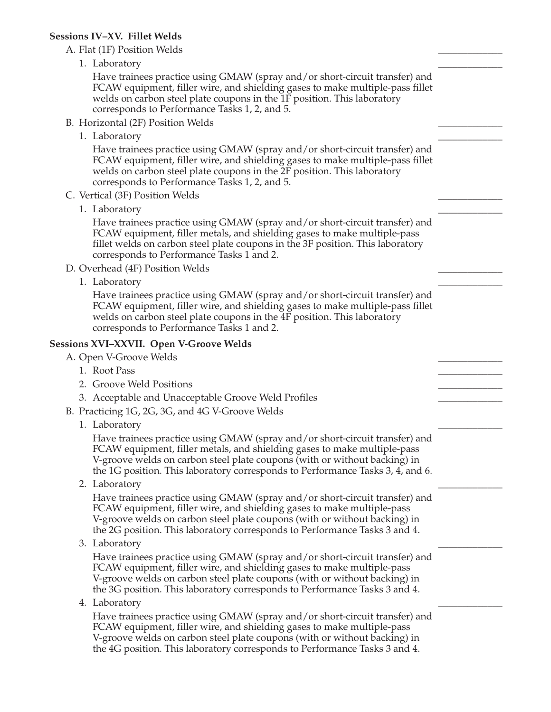#### **Sessions IV–XV. Fillet Welds**

| $J$ essiuiis I v $-\Lambda$ v. Thiel vyeius                                                                                                                                                                                                                                                                            |  |
|------------------------------------------------------------------------------------------------------------------------------------------------------------------------------------------------------------------------------------------------------------------------------------------------------------------------|--|
| A. Flat (1F) Position Welds                                                                                                                                                                                                                                                                                            |  |
| 1. Laboratory                                                                                                                                                                                                                                                                                                          |  |
| Have trainees practice using GMAW (spray and/or short-circuit transfer) and<br>FCAW equipment, filler wire, and shielding gases to make multiple-pass fillet<br>welds on carbon steel plate coupons in the 1F position. This laboratory<br>corresponds to Performance Tasks 1, 2, and 5.                               |  |
| B. Horizontal (2F) Position Welds                                                                                                                                                                                                                                                                                      |  |
| 1. Laboratory                                                                                                                                                                                                                                                                                                          |  |
| Have trainees practice using GMAW (spray and/or short-circuit transfer) and<br>FCAW equipment, filler wire, and shielding gases to make multiple-pass fillet<br>welds on carbon steel plate coupons in the 2F position. This laboratory<br>corresponds to Performance Tasks 1, 2, and 5.                               |  |
| C. Vertical (3F) Position Welds                                                                                                                                                                                                                                                                                        |  |
| 1. Laboratory                                                                                                                                                                                                                                                                                                          |  |
| Have trainees practice using GMAW (spray and/or short-circuit transfer) and<br>FCAW equipment, filler metals, and shielding gases to make multiple-pass<br>fillet welds on carbon steel plate coupons in the 3F position. This laboratory<br>corresponds to Performance Tasks 1 and 2.                                 |  |
| D. Overhead (4F) Position Welds                                                                                                                                                                                                                                                                                        |  |
| 1. Laboratory                                                                                                                                                                                                                                                                                                          |  |
| Have trainees practice using GMAW (spray and/or short-circuit transfer) and<br>FCAW equipment, filler wire, and shielding gases to make multiple-pass fillet<br>welds on carbon steel plate coupons in the 4F position. This laboratory<br>corresponds to Performance Tasks 1 and 2.                                   |  |
| <b>Sessions XVI–XXVII. Open V-Groove Welds</b>                                                                                                                                                                                                                                                                         |  |
| A. Open V-Groove Welds                                                                                                                                                                                                                                                                                                 |  |
| 1. Root Pass                                                                                                                                                                                                                                                                                                           |  |
| 2. Groove Weld Positions                                                                                                                                                                                                                                                                                               |  |
| 3. Acceptable and Unacceptable Groove Weld Profiles                                                                                                                                                                                                                                                                    |  |
| B. Practicing 1G, 2G, 3G, and 4G V-Groove Welds                                                                                                                                                                                                                                                                        |  |
| 1. Laboratory                                                                                                                                                                                                                                                                                                          |  |
| Have trainees practice using GMAW (spray and/or short-circuit transfer) and<br>FCAW equipment, filler metals, and shielding gases to make multiple-pass<br>V-groove welds on carbon steel plate coupons (with or without backing) in<br>the 1G position. This laboratory corresponds to Performance Tasks 3, 4, and 6. |  |
| 2. Laboratory                                                                                                                                                                                                                                                                                                          |  |
| Have trainees practice using GMAW (spray and/or short-circuit transfer) and<br>FCAW equipment, filler wire, and shielding gases to make multiple-pass<br>V-groove welds on carbon steel plate coupons (with or without backing) in<br>the 2G position. This laboratory corresponds to Performance Tasks 3 and 4.       |  |
| 3. Laboratory                                                                                                                                                                                                                                                                                                          |  |
| Have trainees practice using GMAW (spray and/or short-circuit transfer) and<br>FCAW equipment, filler wire, and shielding gases to make multiple-pass<br>V-groove welds on carbon steel plate coupons (with or without backing) in<br>the 3G position. This laboratory corresponds to Performance Tasks 3 and 4.       |  |

4. Laboratory **and a set of the set of the set of the set of the set of the set of the set of the set of the set of the set of the set of the set of the set of the set of the set of the set of the set of the set of the set** 

Have trainees practice using GMAW (spray and/or short-circuit transfer) and FCAW equipment, filler wire, and shielding gases to make multiple-pass V-groove welds on carbon steel plate coupons (with or without backing) in the 4G position. This laboratory corresponds to Performance Tasks 3 and 4.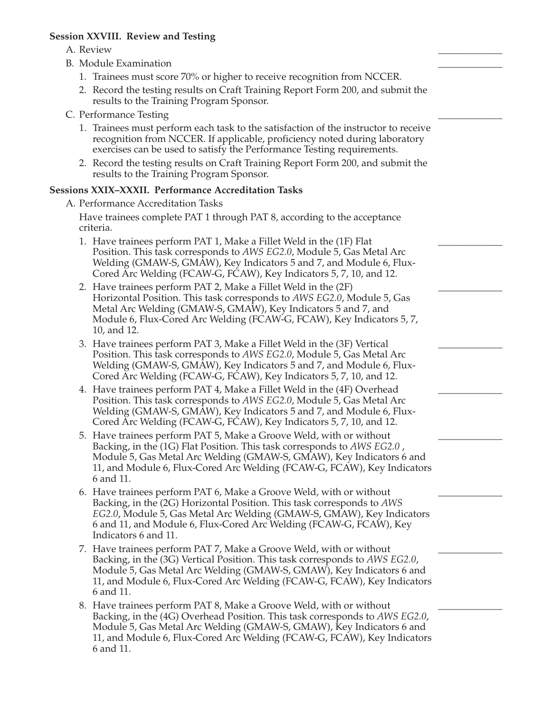#### **Session XXVIII. Review and Testing**

#### A. Review \_\_\_\_\_\_\_\_\_\_\_\_\_

- B. Module Examination
	- 1. Trainees must score 70% or higher to receive recognition from NCCER.
	- 2. Record the testing results on Craft Training Report Form 200, and submit the results to the Training Program Sponsor.
- C. Performance Testing
	- 1. Trainees must perform each task to the satisfaction of the instructor to receive recognition from NCCER. If applicable, proficiency noted during laboratory exercises can be used to satisfy the Performance Testing requirements.
	- 2. Record the testing results on Craft Training Report Form 200, and submit the results to the Training Program Sponsor.

#### **Sessions XXIX–XXXII. Performance Accreditation Tasks**

A. Performance Accreditation Tasks

Have trainees complete PAT 1 through PAT 8, according to the acceptance criteria.

- 1. Have trainees perform PAT 1, Make a Fillet Weld in the (1F) Flat Position. This task corresponds to *AWS EG2.0*, Module 5, Gas Metal Arc Welding (GMAW-S, GMAW), Key Indicators 5 and 7, and Module 6, Flux-Cored Arc Welding (FCAW-G, FCAW), Key Indicators 5, 7, 10, and 12.
- 2. Have trainees perform PAT 2, Make a Fillet Weld in the (2F) Horizontal Position. This task corresponds to *AWS EG2.0*, Module 5, Gas Metal Arc Welding (GMAW-S, GMAW), Key Indicators 5 and 7, and Module 6, Flux-Cored Arc Welding (FCAW-G, FCAW), Key Indicators 5, 7, 10, and 12.
- 3. Have trainees perform PAT 3, Make a Fillet Weld in the (3F) Vertical Position. This task corresponds to *AWS EG2.0*, Module 5, Gas Metal Arc Welding (GMAW-S, GMAW), Key Indicators 5 and 7, and Module 6, Flux-Cored Arc Welding (FCAW-G, FCAW), Key Indicators 5, 7, 10, and 12.
- 4. Have trainees perform PAT 4, Make a Fillet Weld in the (4F) Overhead Position. This task corresponds to *AWS EG2.0*, Module 5, Gas Metal Arc Welding (GMAW-S, GMAW), Key Indicators 5 and 7, and Module 6, Flux-Cored Arc Welding (FCAW-G, FCAW), Key Indicators 5, 7, 10, and 12.
- 5. Have trainees perform PAT 5, Make a Groove Weld, with or without Backing, in the (1G) Flat Position. This task corresponds to *AWS EG2.0* , Module 5, Gas Metal Arc Welding (GMAW-S, GMAW), Key Indicators 6 and 11, and Module 6, Flux-Cored Arc Welding (FCAW-G, FCAW), Key Indicators 6 and 11.
- 6. Have trainees perform PAT 6, Make a Groove Weld, with or without Backing, in the (2G) Horizontal Position. This task corresponds to *AWS EG2.0*, Module 5, Gas Metal Arc Welding (GMAW-S, GMAW), Key Indicators 6 and 11, and Module 6, Flux-Cored Arc Welding (FCAW-G, FCAW), Key Indicators 6 and 11.
- 7. Have trainees perform PAT 7, Make a Groove Weld, with or without Backing, in the (3G) Vertical Position. This task corresponds to *AWS EG2.0*, Module 5, Gas Metal Arc Welding (GMAW-S, GMAW), Key Indicators 6 and 11, and Module 6, Flux-Cored Arc Welding (FCAW-G, FCAW), Key Indicators 6 and 11.
- 8. Have trainees perform PAT 8, Make a Groove Weld, with or without Backing, in the (4G) Overhead Position. This task corresponds to *AWS EG2.0*, Module 5, Gas Metal Arc Welding (GMAW-S, GMAW), Key Indicators 6 and 11, and Module 6, Flux-Cored Arc Welding (FCAW-G, FCAW), Key Indicators 6 and 11.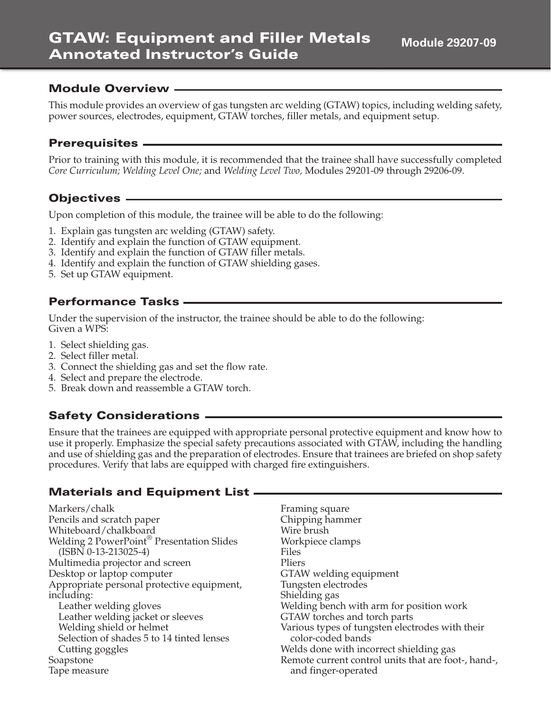#### **Module Overview**

This module provides an overview of gas tungsten arc welding (GTAW) topics, including welding safety, power sources, electrodes, equipment, GTAW torches, filler metals, and equipment setup.

#### **Prerequisites**

Prior to training with this module, it is recommended that the trainee shall have successfully completed *Core Curriculum; Welding Level One;* and *Welding Level Two,* Modules 29201-09 through 29206-09.

#### **Objectives**

Upon completion of this module, the trainee will be able to do the following:

- 1. Explain gas tungsten arc welding (GTAW) safety.
- 2. Identify and explain the function of GTAW equipment.
- 3. Identify and explain the function of GTAW filler metals.
- 4. Identify and explain the function of GTAW shielding gases.
- 5. Set up GTAW equipment.

#### **Performance Tasks**

Under the supervision of the instructor, the trainee should be able to do the following: Given a WPS:

- 1. Select shielding gas.
- 2. Select filler metal.
- 3. Connect the shielding gas and set the flow rate.
- 4. Select and prepare the electrode.
- 5. Break down and reassemble a GTAW torch.

#### **Safety Considerations**

Ensure that the trainees are equipped with appropriate personal protective equipment and know how to use it properly. Emphasize the special safety precautions associated with GTAW, including the handling and use of shielding gas and the preparation of electrodes. Ensure that trainees are briefed on shop safety procedures. Verify that labs are equipped with charged fire extinguishers.

#### **Materials and Equipment List**

Markers/chalk Pencils and scratch paper Whiteboard/chalkboard Welding 2 PowerPoint® Presentation Slides (ISBN 0-13-213025-4) Multimedia projector and screen Desktop or laptop computer Appropriate personal protective equipment, including: Leather welding gloves Leather welding jacket or sleeves Welding shield or helmet Selection of shades 5 to 14 tinted lenses Cutting goggles Soapstone Tape measure Files Pliers

Framing square Chipping hammer Wire brush Workpiece clamps GTAW welding equipment Tungsten electrodes Shielding gas Welding bench with arm for position work GTAW torches and torch parts Various types of tungsten electrodes with their color-coded bands Welds done with incorrect shielding gas Remote current control units that are foot-, hand-, and finger-operated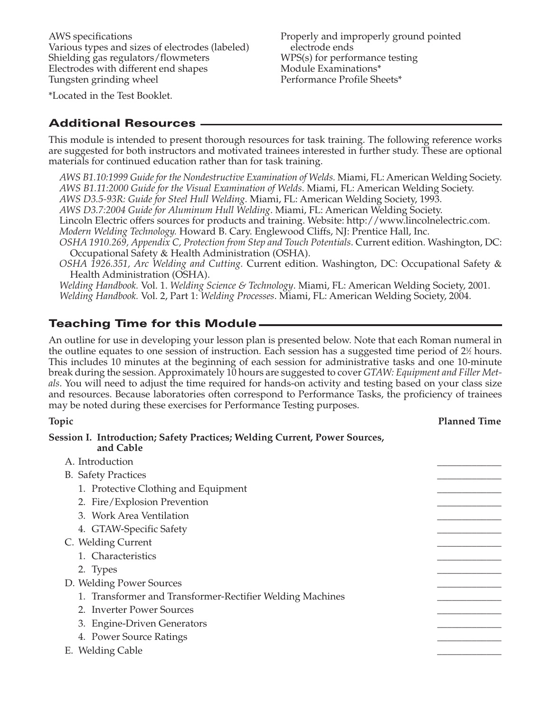AWS specifications Various types and sizes of electrodes (labeled) Shielding gas regulators/flowmeters Electrodes with different end shapes Tungsten grinding wheel

Properly and improperly ground pointed electrode ends WPS(s) for performance testing Module Examinations\* Performance Profile Sheets\*

\*Located in the Test Booklet.

#### **Additional Resources**

This module is intended to present thorough resources for task training. The following reference works are suggested for both instructors and motivated trainees interested in further study. These are optional materials for continued education rather than for task training.

*AWS B1.10:1999 Guide for the Nondestructive Examination of Welds.* Miami, FL: American Welding Society. *AWS B1.11:2000 Guide for the Visual Examination of Welds*. Miami, FL: American Welding Society.

*AWS D3.5-93R: Guide for Steel Hull Welding.* Miami, FL: American Welding Society, 1993.

*AWS D3.7:2004 Guide for Aluminum Hull Welding*. Miami, FL: American Welding Society.

Lincoln Electric offers sources for products and training. Website: http://www.lincolnelectric.com.

*Modern Welding Technology.* Howard B. Cary. Englewood Cliffs, NJ: Prentice Hall, Inc.

*OSHA 1910.269, Appendix C, Protection from Step and Touch Potentials*. Current edition. Washington, DC: Occupational Safety & Health Administration (OSHA).

*OSHA 1926.351, Arc Welding and Cutting.* Current edition. Washington, DC: Occupational Safety & Health Administration (OSHA).

*Welding Handbook.* Vol. 1. *Welding Science & Technology*. Miami, FL: American Welding Society, 2001. *Welding Handbook.* Vol. 2, Part 1: *Welding Processes*. Miami, FL: American Welding Society, 2004.

#### **Teaching Time for this Module**

An outline for use in developing your lesson plan is presented below. Note that each Roman numeral in the outline equates to one session of instruction. Each session has a suggested time period of  $2\%$  hours. This includes 10 minutes at the beginning of each session for administrative tasks and one 10-minute break during the session. Approximately 10 hours are suggested to cover *GTAW: Equipment and Filler Metals*. You will need to adjust the time required for hands-on activity and testing based on your class size and resources. Because laboratories often correspond to Performance Tasks, the proficiency of trainees may be noted during these exercises for Performance Testing purposes.

#### **Topic Planned Time**

#### **Session I. Introduction; Safety Practices; Welding Current, Power Sources, and Cable**

| A. Introduction                                           |  |
|-----------------------------------------------------------|--|
| <b>B.</b> Safety Practices                                |  |
| 1. Protective Clothing and Equipment                      |  |
| 2. Fire/Explosion Prevention                              |  |
| 3. Work Area Ventilation                                  |  |
| 4. GTAW-Specific Safety                                   |  |
| C. Welding Current                                        |  |
| 1. Characteristics                                        |  |
| 2. Types                                                  |  |
| D. Welding Power Sources                                  |  |
| 1. Transformer and Transformer-Rectifier Welding Machines |  |
| 2. Inverter Power Sources                                 |  |
| 3. Engine-Driven Generators                               |  |
| 4. Power Source Ratings                                   |  |
| E. Welding Cable                                          |  |
|                                                           |  |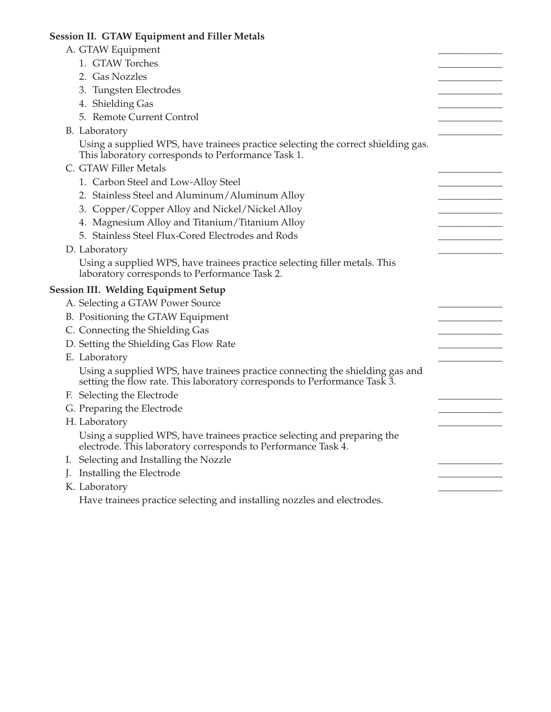# **Session II. GTAW Equipment and Filler Metals**

| A. GTAW Equipment                                                                                                                                          |  |
|------------------------------------------------------------------------------------------------------------------------------------------------------------|--|
| 1. GTAW Torches                                                                                                                                            |  |
| 2. Gas Nozzles                                                                                                                                             |  |
| 3. Tungsten Electrodes                                                                                                                                     |  |
| 4. Shielding Gas                                                                                                                                           |  |
| 5. Remote Current Control                                                                                                                                  |  |
| B. Laboratory                                                                                                                                              |  |
| Using a supplied WPS, have trainees practice selecting the correct shielding gas.<br>This laboratory corresponds to Performance Task 1.                    |  |
| C. GTAW Filler Metals                                                                                                                                      |  |
| 1. Carbon Steel and Low-Alloy Steel                                                                                                                        |  |
| 2. Stainless Steel and Aluminum/Aluminum Alloy                                                                                                             |  |
| 3. Copper/Copper Alloy and Nickel/Nickel Alloy                                                                                                             |  |
| 4. Magnesium Alloy and Titanium/Titanium Alloy                                                                                                             |  |
| 5. Stainless Steel Flux-Cored Electrodes and Rods                                                                                                          |  |
| D. Laboratory                                                                                                                                              |  |
| Using a supplied WPS, have trainees practice selecting filler metals. This<br>laboratory corresponds to Performance Task 2.                                |  |
| <b>Session III. Welding Equipment Setup</b>                                                                                                                |  |
| A. Selecting a GTAW Power Source                                                                                                                           |  |
| B. Positioning the GTAW Equipment                                                                                                                          |  |
| C. Connecting the Shielding Gas                                                                                                                            |  |
| D. Setting the Shielding Gas Flow Rate                                                                                                                     |  |
| E. Laboratory                                                                                                                                              |  |
| Using a supplied WPS, have trainees practice connecting the shielding gas and<br>setting the flow rate. This laboratory corresponds to Performance Task 3. |  |
| F. Selecting the Electrode                                                                                                                                 |  |
| G. Preparing the Electrode                                                                                                                                 |  |
| H. Laboratory                                                                                                                                              |  |
| Using a supplied WPS, have trainees practice selecting and preparing the<br>electrode. This laboratory corresponds to Performance Task 4.                  |  |
| I. Selecting and Installing the Nozzle                                                                                                                     |  |
| J. Installing the Electrode                                                                                                                                |  |
| K. Laboratory                                                                                                                                              |  |
| Have trainees practice selecting and installing nozzles and electrodes.                                                                                    |  |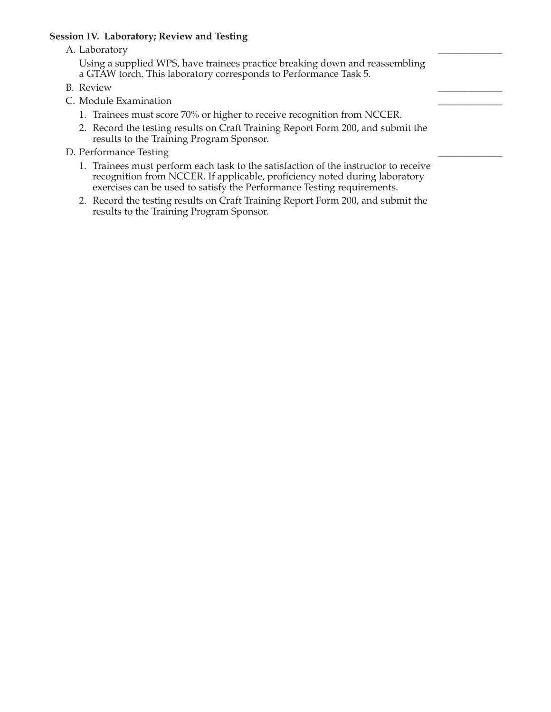#### **Session IV. Laboratory; Review and Testing**

A. Laboratory

Using a supplied WPS, have trainees practice breaking down and reassembling a GTAW torch. This laboratory corresponds to Performance Task 5.

- B. Review \_\_\_\_\_\_\_\_\_\_\_\_\_
- C. Module Examination
	- 1. Trainees must score 70% or higher to receive recognition from NCCER.
	- 2. Record the testing results on Craft Training Report Form 200, and submit the results to the Training Program Sponsor.
- D. Performance Testing
	- 1. Trainees must perform each task to the satisfaction of the instructor to receive recognition from NCCER. If applicable, proficiency noted during laboratory exercises can be used to satisfy the Performance Testing requirements.
	- 2. Record the testing results on Craft Training Report Form 200, and submit the results to the Training Program Sponsor.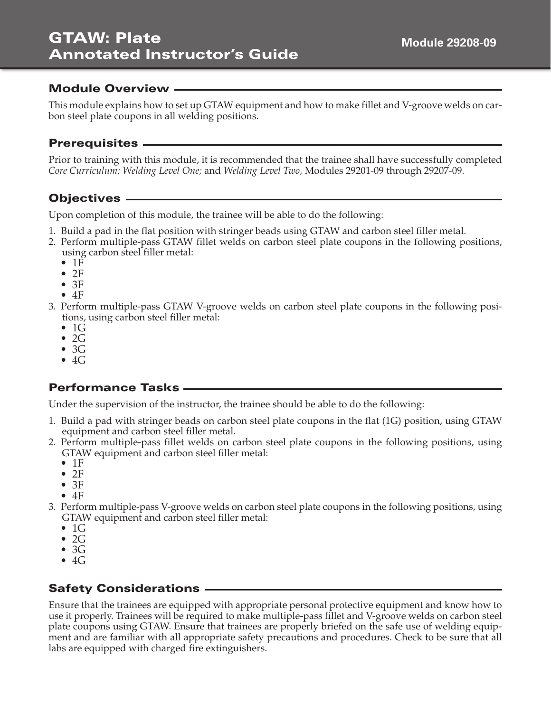#### **Module Overview**

This module explains how to set up GTAW equipment and how to make fillet and V-groove welds on carbon steel plate coupons in all welding positions.

#### **Prerequisites**

Prior to training with this module, it is recommended that the trainee shall have successfully completed *Core Curriculum; Welding Level One;* and *Welding Level Two,* Modules 29201-09 through 29207-09.

## **Objectives**

Upon completion of this module, the trainee will be able to do the following:

- 1. Build a pad in the flat position with stringer beads using GTAW and carbon steel filler metal.
- 2. Perform multiple-pass GTAW fillet welds on carbon steel plate coupons in the following positions, using carbon steel filler metal:
	- $1F$
	- $2F$
	- 3F
	- $4F$
- 3. Perform multiple-pass GTAW V-groove welds on carbon steel plate coupons in the following positions, using carbon steel filler metal:
	- $\bullet$  1G
	- $\bullet$  2G
	- $\bullet$  3G
	- $\bullet$  4G

## **Performance Tasks**

Under the supervision of the instructor, the trainee should be able to do the following:

- 1. Build a pad with stringer beads on carbon steel plate coupons in the flat (1G) position, using GTAW equipment and carbon steel filler metal.
- 2. Perform multiple-pass fillet welds on carbon steel plate coupons in the following positions, using GTAW equipment and carbon steel filler metal:
	- 1F
	- $2F$
	- 3F
	- 4F
- 3. Perform multiple-pass V-groove welds on carbon steel plate coupons in the following positions, using GTAW equipment and carbon steel filler metal:
	- $\bullet$  1G
	- $\bullet$  2G
	- $\bullet$  3G
	- $\bullet$  4G

## **Safety Considerations**

Ensure that the trainees are equipped with appropriate personal protective equipment and know how to use it properly. Trainees will be required to make multiple-pass fillet and V-groove welds on carbon steel plate coupons using GTAW. Ensure that trainees are properly briefed on the safe use of welding equipment and are familiar with all appropriate safety precautions and procedures. Check to be sure that all labs are equipped with charged fire extinguishers.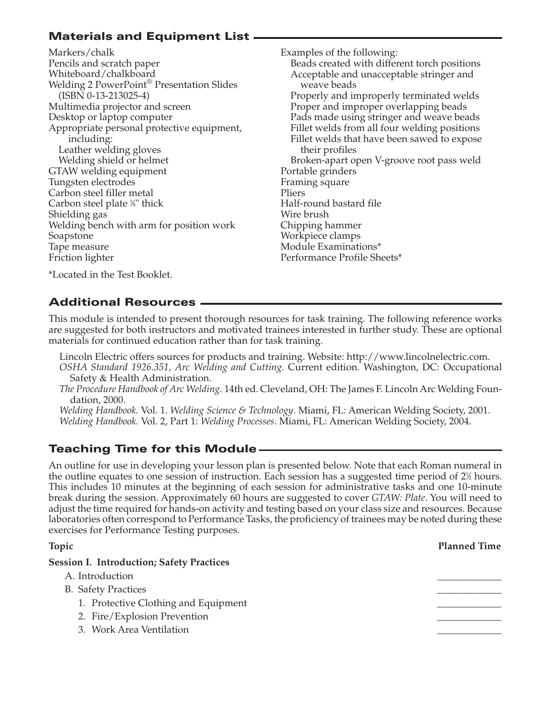# **Materials and Equipment List**

Markers/chalk Pencils and scratch paper Whiteboard/chalkboard Welding 2 PowerPoint<sup>®</sup> Presentation Slides (ISBN 0-13-213025-4) Multimedia projector and screen Desktop or laptop computer Appropriate personal protective equipment, including: Leather welding gloves Welding shield or helmet GTAW welding equipment Tungsten electrodes Carbon steel filler metal Carbon steel plate ¾" thick Shielding gas Welding bench with arm for position work Soapstone Tape measure Friction lighter

Examples of the following: Beads created with different torch positions Acceptable and unacceptable stringer and weave beads Properly and improperly terminated welds Proper and improper overlapping beads Pads made using stringer and weave beads Fillet welds from all four welding positions Fillet welds that have been sawed to expose their profiles Broken-apart open V-groove root pass weld Portable grinders Framing square Pliers Half-round bastard file Wire brush Chipping hammer Workpiece clamps Module Examinations\* Performance Profile Sheets\*

\*Located in the Test Booklet.

#### **Additional Resources**

This module is intended to present thorough resources for task training. The following reference works are suggested for both instructors and motivated trainees interested in further study. These are optional materials for continued education rather than for task training.

- Lincoln Electric offers sources for products and training. Website: http://www.lincolnelectric.com.
- *OSHA Standard 1926.351, Arc Welding and Cutting.* Current edition. Washington, DC: Occupational Safety & Health Administration.
- *The Procedure Handbook of Arc Welding.* 14th ed. Cleveland, OH: The James F. Lincoln Arc Welding Foundation, 2000.

*Welding Handbook.* Vol. 1. *Welding Science & Technology*. Miami, FL: American Welding Society, 2001. *Welding Handbook.* Vol. 2, Part 1: *Welding Processes*. Miami, FL: American Welding Society, 2004.

# **Teaching Time for this Module**

An outline for use in developing your lesson plan is presented below. Note that each Roman numeral in the outline equates to one session of instruction. Each session has a suggested time period of  $2\%$  hours. This includes 10 minutes at the beginning of each session for administrative tasks and one 10-minute break during the session. Approximately 60 hours are suggested to cover *GTAW: Plate*. You will need to adjust the time required for hands-on activity and testing based on your class size and resources. Because laboratories often correspond to Performance Tasks, the proficiency of trainees may be noted during these exercises for Performance Testing purposes.

#### **Topic Planned Time**

# **Session I. Introduction; Safety Practices** A. Introduction B. Safety Practices 1. Protective Clothing and Equipment 2. Fire/Explosion Prevention 3. Work Area Ventilation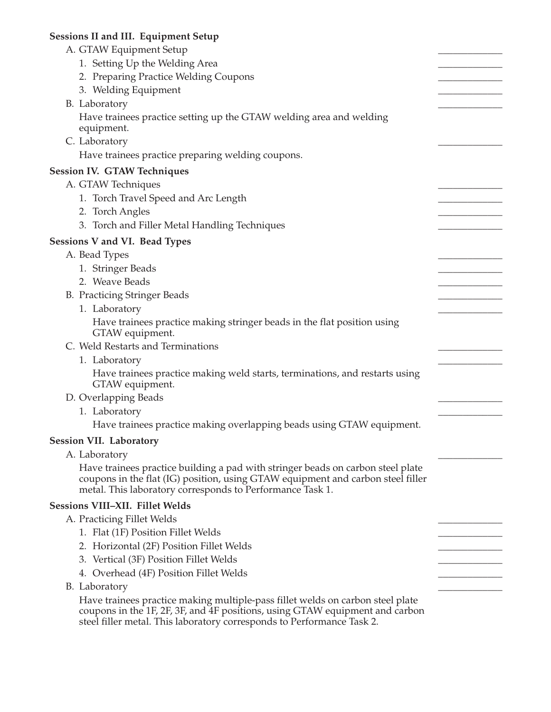## **Sessions II and III. Equipment Setup**

| A. GTAW Equipment Setup                                                                                                                                                                                                                  |  |
|------------------------------------------------------------------------------------------------------------------------------------------------------------------------------------------------------------------------------------------|--|
| 1. Setting Up the Welding Area                                                                                                                                                                                                           |  |
| 2. Preparing Practice Welding Coupons                                                                                                                                                                                                    |  |
| 3. Welding Equipment                                                                                                                                                                                                                     |  |
| B. Laboratory                                                                                                                                                                                                                            |  |
| Have trainees practice setting up the GTAW welding area and welding                                                                                                                                                                      |  |
| equipment.                                                                                                                                                                                                                               |  |
| C. Laboratory                                                                                                                                                                                                                            |  |
| Have trainees practice preparing welding coupons.                                                                                                                                                                                        |  |
| <b>Session IV. GTAW Techniques</b>                                                                                                                                                                                                       |  |
| A. GTAW Techniques                                                                                                                                                                                                                       |  |
| 1. Torch Travel Speed and Arc Length                                                                                                                                                                                                     |  |
| 2. Torch Angles                                                                                                                                                                                                                          |  |
| 3. Torch and Filler Metal Handling Techniques                                                                                                                                                                                            |  |
| <b>Sessions V and VI. Bead Types</b>                                                                                                                                                                                                     |  |
| A. Bead Types                                                                                                                                                                                                                            |  |
| 1. Stringer Beads                                                                                                                                                                                                                        |  |
| 2. Weave Beads                                                                                                                                                                                                                           |  |
| <b>B.</b> Practicing Stringer Beads                                                                                                                                                                                                      |  |
| 1. Laboratory                                                                                                                                                                                                                            |  |
| Have trainees practice making stringer beads in the flat position using                                                                                                                                                                  |  |
| GTAW equipment.                                                                                                                                                                                                                          |  |
| C. Weld Restarts and Terminations                                                                                                                                                                                                        |  |
| 1. Laboratory                                                                                                                                                                                                                            |  |
| Have trainees practice making weld starts, terminations, and restarts using<br>GTAW equipment.                                                                                                                                           |  |
| D. Overlapping Beads                                                                                                                                                                                                                     |  |
| 1. Laboratory                                                                                                                                                                                                                            |  |
| Have trainees practice making overlapping beads using GTAW equipment.                                                                                                                                                                    |  |
| <b>Session VII. Laboratory</b>                                                                                                                                                                                                           |  |
| A. Laboratory                                                                                                                                                                                                                            |  |
| Have trainees practice building a pad with stringer beads on carbon steel plate<br>coupons in the flat (IG) position, using GTAW equipment and carbon steel filler<br>metal. This laboratory corresponds to Performance Task 1.          |  |
| <b>Sessions VIII-XII. Fillet Welds</b>                                                                                                                                                                                                   |  |
| A. Practicing Fillet Welds                                                                                                                                                                                                               |  |
| 1. Flat (1F) Position Fillet Welds                                                                                                                                                                                                       |  |
| 2. Horizontal (2F) Position Fillet Welds                                                                                                                                                                                                 |  |
| 3. Vertical (3F) Position Fillet Welds                                                                                                                                                                                                   |  |
| 4. Overhead (4F) Position Fillet Welds                                                                                                                                                                                                   |  |
| B. Laboratory                                                                                                                                                                                                                            |  |
| Have trainees practice making multiple-pass fillet welds on carbon steel plate<br>coupons in the 1F, 2F, 3F, and 4F positions, using GTAW equipment and carbon<br>steel filler metal. This laboratory corresponds to Performance Task 2. |  |